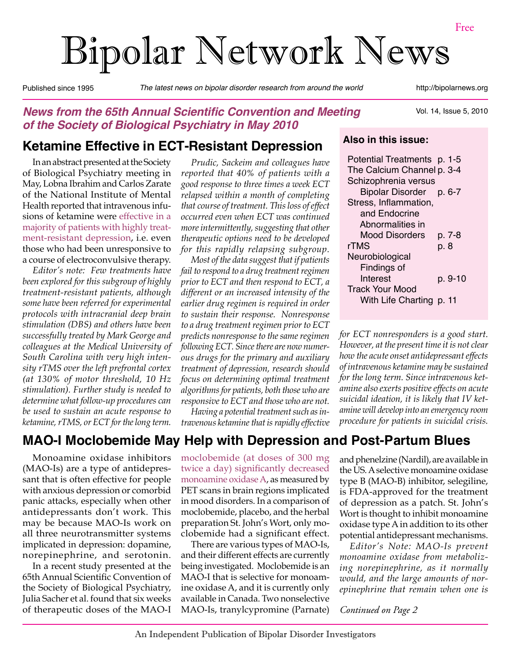# Bipolar Network News

Published since 1995 *The latest news on bipolar disorder research from around the world* http://bipolarnews.org

### **News from the 65th Annual Scientific Convention and Meeting of the Society of Biological Psychiatry in May 2010**

### **Ketamine Effective in ECT-Resistant Depression**

In an abstract presented at the Society of Biological Psychiatry meeting in May, Lobna Ibrahim and Carlos Zarate of the National Institute of Mental Health reported that intravenous infusions of ketamine were effective in a majority of patients with highly treatment-resistant depression, i.e. even those who had been unresponsive to a course of electroconvulsive therapy.

*Editor's note: Few treatments have been explored for this subgroup of highly treatment-resistant patients, although some have been referred for experimental protocols with intracranial deep brain stimulation (DBS) and others have been successfully treated by Mark George and colleagues at the Medical University of South Carolina with very high intensity rTMS over the left prefrontal cortex (at 130% of motor threshold, 10 Hz stimulation). Further study is needed to determine what follow-up procedures can be used to sustain an acute response to ketamine, rTMS, or ECT for the long term.*

*Prudic, Sackeim and colleagues have reported that 40% of patients with a good response to three times a week ECT relapsed within a month of completing that course of treatment. This loss of effect occurred even when ECT was continued more intermittently, suggesting that other therapeutic options need to be developed for this rapidly relapsing subgroup.* 

*Most of the data suggest that if patients fail to respond to a drug treatment regimen prior to ECT and then respond to ECT, a different or an increased intensity of the earlier drug regimen is required in order to sustain their response. Nonresponse to a drug treatment regimen prior to ECT predicts nonresponse to the same regimen following ECT. Since there are now numerous drugs for the primary and auxiliary treatment of depression, research should focus on determining optimal treatment algorithms for patients, both those who are responsive to ECT and those who are not.* 

*Having a potential treatment such as intravenous ketamine that is rapidly effective* 

### Vol. 14, Issue 5, 2010

#### **Also in this issue:**

| Potential Treatments p. 1-5 |      |         |
|-----------------------------|------|---------|
| The Calcium Channel p. 3-4  |      |         |
| Schizophrenia versus        |      |         |
| Bipolar Disorder            |      | p. 6-7  |
| Stress, Inflammation,       |      |         |
| and Endocrine               |      |         |
| Abnormalities in            |      |         |
| Mood Disorders              |      | p. 7-8  |
| rTMS                        | p. 8 |         |
| Neurobiological             |      |         |
| Findings of                 |      |         |
| Interest                    |      | p. 9-10 |
| <b>Track Your Mood</b>      |      |         |
| With Life Charting p. 11    |      |         |
|                             |      |         |

*for ECT nonresponders is a good start. However, at the present time it is not clear how the acute onset antidepressant effects of intravenous ketamine may be sustained for the long term. Since intravenous ketamine also exerts positive effects on acute suicidal ideation, it is likely that IV ketamine will develop into an emergency room procedure for patients in suicidal crisis.*

### **MAO-I Moclobemide May Help with Depression and Post-Partum Blues**

Monoamine oxidase inhibitors (MAO-Is) are a type of antidepressant that is often effective for people with anxious depression or comorbid panic attacks, especially when other antidepressants don't work. This may be because MAO-Is work on all three neurotransmitter systems implicated in depression: dopamine, norepinephrine, and serotonin.

In a recent study presented at the 65th Annual Scientific Convention of the Society of Biological Psychiatry, Julia Sacher et al. found that six weeks of therapeutic doses of the MAO-I moclobemide (at doses of 300 mg twice a day) significantly decreased monoamine oxidase A, as measured by PET scans in brain regions implicated in mood disorders. In a comparison of moclobemide, placebo, and the herbal preparation St. John's Wort, only moclobemide had a significant effect.

There are various types of MAO-Is, and their different effects are currently being investigated. Moclobemide is an MAO-I that is selective for monoamine oxidase A, and it is currently only available in Canada. Two nonselective MAO-Is, tranylcypromine (Parnate) and phenelzine (Nardil), are available in the US. A selective monoamine oxidase type B (MAO-B) inhibitor, selegiline, is FDA-approved for the treatment of depression as a patch. St. John's Wort is thought to inhibit monoamine oxidase type A in addition to its other potential antidepressant mechanisms.

*Editor's Note: MAO-Is prevent monoamine oxidase from metabolizing norepinephrine, as it normally would, and the large amounts of norepinephrine that remain when one is*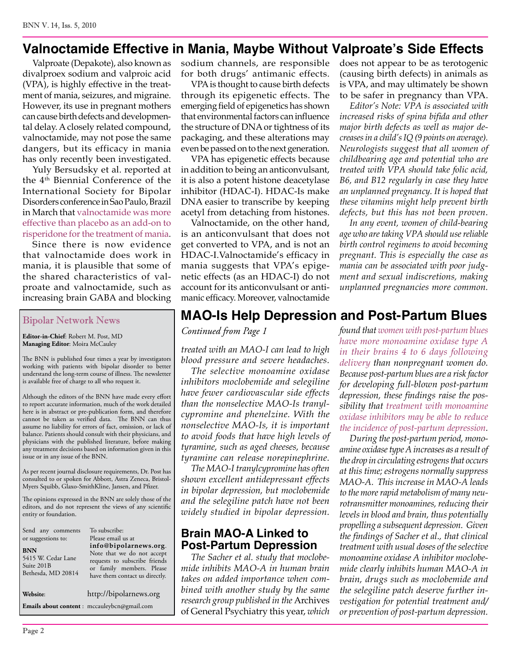### **Valnoctamide Effective in Mania, Maybe Without Valproate's Side Effects**

Valproate (Depakote), also known as divalproex sodium and valproic acid (VPA), is highly effective in the treatment of mania, seizures, and migraine. However, its use in pregnant mothers can cause birth defects and developmental delay. A closely related compound, valnoctamide, may not pose the same dangers, but its efficacy in mania has only recently been investigated.

Yuly Bersudsky et al. reported at the 4<sup>th</sup> Biennial Conference of the International Society for Bipolar Disorders conference in Sao Paulo, Brazil in March that valnoctamide was more effective than placebo as an add-on to risperidone for the treatment of mania.

Since there is now evidence that valnoctamide does work in mania, it is plausible that some of the shared characteristics of valproate and valnoctamide, such as increasing brain GABA and blocking

#### Bipolar Network News

**Editor-in-Chief**: Robert M. Post, MD **Managing Editor**: Moira McCauley

The BNN is published four times a year by investigators working with patients with bipolar disorder to better understand the long-term course of illness. The newsletter is available free of charge to all who request it.

Although the editors of the BNN have made every effort to report accurate information, much of the work detailed here is in abstract or pre-publication form, and therefore cannot be taken as verified data. The BNN can thus assume no liability for errors of fact, omission, or lack of balance. Patients should consult with their physicians, and physicians with the published literature, before making any treatment decisions based on information given in this issue or in any issue of the BNN.

As per recent journal disclosure requirements, Dr. Post has consulted to or spoken for Abbott, Astra Zeneca, Bristol-Myers Squibb, Glaxo-SmithKline, Jansen, and Pfizer.

The opinions expressed in the BNN are solely those of the editors, and do not represent the views of any scientific entity or foundation.

| Send any comments<br>or suggestions to:<br><b>BNN</b><br>5415 W. Cedar Lane<br>Suite 201B<br>Bethesda, MD 20814 | To subscribe:<br>Please email us at<br>info@bipolarnews.org.<br>Note that we do not accept<br>requests to subscribe friends<br>or family members. Please<br>have them contact us directly. |  |
|-----------------------------------------------------------------------------------------------------------------|--------------------------------------------------------------------------------------------------------------------------------------------------------------------------------------------|--|
| Website:                                                                                                        | http://bipolarnews.org                                                                                                                                                                     |  |
|                                                                                                                 | Emails about content : mccauleybcn@gmail.com                                                                                                                                               |  |

sodium channels, are responsible for both drugs' antimanic effects.

VPA is thought to cause birth defects through its epigenetic effects. The emerging field of epigenetics has shown that environmental factors can influence the structure of DNA or tightness of its packaging, and these alterations may even be passed on to the next generation.

VPA has epigenetic effects because in addition to being an anticonvulsant, it is also a potent histone deacetylase inhibitor (HDAC-I). HDAC-Is make DNA easier to transcribe by keeping acetyl from detaching from histones.

Valnoctamide, on the other hand, is an anticonvulsant that does not get converted to VPA, and is not an HDAC-I.Valnoctamide's efficacy in mania suggests that VPA's epigenetic effects (as an HDAC-I) do not account for its anticonvulsant or antimanic efficacy. Moreover, valnoctamide

does not appear to be as terotogenic (causing birth defects) in animals as is VPA, and may ultimately be shown to be safer in pregnancy than VPA.

*Editor's Note: VPA is associated with increased risks of spina bifida and other major birth defects as well as major decreases in a child's IQ (9 points on average). Neurologists suggest that all women of childbearing age and potential who are treated with VPA should take folic acid, B6, and B12 regularly in case they have an unplanned pregnancy. It is hoped that these vitamins might help prevent birth defects, but this has not been proven.*

*In any event, women of child-bearing age who are taking VPA should use reliable birth control regimens to avoid becoming pregnant. This is especially the case as mania can be associated with poor judgment and sexual indiscretions, making unplanned pregnancies more common.*

### **MAO-Is Help Depression and Post-Partum Blues**

*Continued from Page 1*

*treated with an MAO-I can lead to high blood pressure and severe headaches.* 

*The selective monoamine oxidase inhibitors moclobemide and selegiline have fewer cardiovascular side effects than the nonselective MAO-Is tranylcypromine and phenelzine. With the nonselective MAO-Is, it is important to avoid foods that have high levels of tyramine, such as aged cheeses, because tyramine can release norepinephrine.* 

*The MAO-I tranylcypromine has often shown excellent antidepressant effects in bipolar depression, but moclobemide and the selegiline patch have not been widely studied in bipolar depression.*

### **Brain MAO-A Linked to Post-Partum Depression**

*The Sacher et al. study that moclobemide inhibits MAO-A in human brain takes on added importance when combined with another study by the same research group published in the* Archives of General Psychiatry this year, *which*  *found that women with post-partum blues have more monoamine oxidase type A in their brains 4 to 6 days following delivery than nonpregnant women do. Because post-partum blues are a risk factor for developing full-blown post-partum depression, these findings raise the possibility that treatment with monoamine oxidase inhibitors may be able to reduce the incidence of post-partum depression.*

*During the post-partum period, monoamine oxidase type A increases as a result of the drop in circulating estrogens that occurs at this time; estrogens normally suppress MAO-A. This increase in MAO-A leads to the more rapid metabolism of many neurotransmitter monoamines, reducing their levels in blood and brain, thus potentially propelling a subsequent depression. Given the findings of Sacher et al., that clinical treatment with usual doses of the selective monoamine oxidase A inhibitor moclobemide clearly inhibits human MAO-A in brain, drugs such as moclobemide and the selegiline patch deserve further investigation for potential treatment and/ or prevention of post-partum depression.*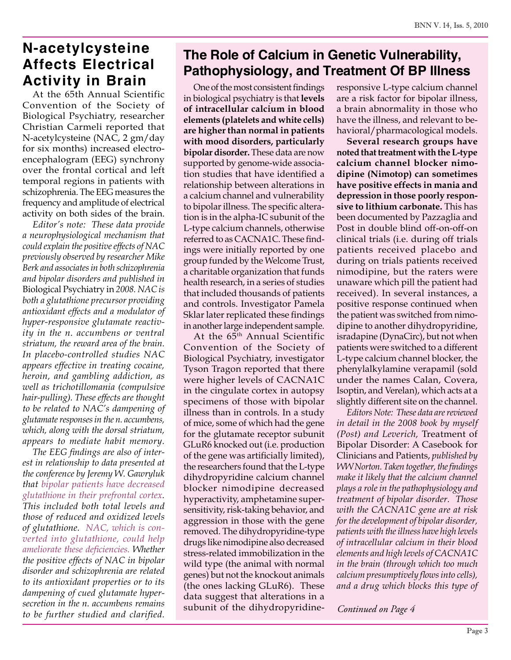### **N-acetylcysteine Affects Electrical Activity in Brain**

At the 65th Annual Scientific Convention of the Society of Biological Psychiatry, researcher Christian Carmeli reported that N-acetylcysteine (NAC, 2 gm/day for six months) increased electroencephalogram (EEG) synchrony over the frontal cortical and left temporal regions in patients with schizophrenia. The EEG measures the frequency and amplitude of electrical activity on both sides of the brain.

*Editor's note: These data provide a neurophysiological mechanism that could explain the positive effects of NAC previously observed by researcher Mike Berk and associates in both schizophrenia and bipolar disorders and published in*  Biological Psychiatry in *2008. NAC is both a glutathione precursor providing antioxidant effects and a modulator of hyper-responsive glutamate reactivity in the n. accumbens or ventral striatum, the reward area of the brain. In placebo-controlled studies NAC appears effective in treating cocaine, heroin, and gambling addiction, as well as trichotillomania (compulsive hair-pulling). These effects are thought to be related to NAC's dampening of glutamate responses in the n. accumbens, which, along with the dorsal striatum, appears to mediate habit memory.*

*The EEG findings are also of interest in relationship to data presented at the conference by Jeremy W. Gawryluk that bipolar patients have decreased glutathione in their prefrontal cortex. This included both total levels and those of reduced and oxidized levels of glutathione. NAC, which is converted into glutathione, could help ameliorate these deficiencies. Whether the positive effects of NAC in bipolar disorder and schizophrenia are related to its antioxidant properties or to its dampening of cued glutamate hypersecretion in the n. accumbens remains to be further studied and clarified.*

### **The Role of Calcium in Genetic Vulnerability, Pathophysiology, and Treatment Of BP Illness**

One of the most consistent findings in biological psychiatry is that **levels of intracellular calcium in blood elements (platelets and white cells) are higher than normal in patients with mood disorders, particularly bipolar disorder.** These data are now supported by genome-wide association studies that have identified a relationship between alterations in a calcium channel and vulnerability to bipolar illness. The specific alteration is in the alpha-IC subunit of the L-type calcium channels, otherwise referred to as CACNA1C. These findings were initially reported by one group funded by the Welcome Trust, a charitable organization that funds health research, in a series of studies that included thousands of patients and controls. Investigator Pamela Sklar later replicated these findings in another large independent sample.

At the  $65<sup>th</sup>$  Annual Scientific Convention of the Society of Biological Psychiatry, investigator Tyson Tragon reported that there were higher levels of CACNA1C in the cingulate cortex in autopsy specimens of those with bipolar illness than in controls. In a study of mice, some of which had the gene for the glutamate receptor subunit GLuR6 knocked out (i.e. production of the gene was artificially limited), the researchers found that the L-type dihydropyridine calcium channel blocker nimodipine decreased hyperactivity, amphetamine supersensitivity, risk-taking behavior, and aggression in those with the gene removed. The dihydropyridine-type drugs like nimodipine also decreased stress-related immobilization in the wild type (the animal with normal genes) but not the knockout animals (the ones lacking GLuR6). These data suggest that alterations in a subunit of the dihydropyridineresponsive L-type calcium channel are a risk factor for bipolar illness, a brain abnormality in those who have the illness, and relevant to behavioral/pharmacological models.

**Several research groups have noted that treatment with the L-type calcium channel blocker nimodipine (Nimotop) can sometimes have positive effects in mania and depression in those poorly responsive to lithium carbonate.** This has been documented by Pazzaglia and Post in double blind off-on-off-on clinical trials (i.e. during off trials patients received placebo and during on trials patients received nimodipine, but the raters were unaware which pill the patient had received). In several instances, a positive response continued when the patient was switched from nimodipine to another dihydropyridine, isradapine (DynaCirc), but not when patients were switched to a different L-type calcium channel blocker, the phenylalkylamine verapamil (sold under the names Calan, Covera, Isoptin, and Verelan), which acts at a slightly different site on the channel.

*Editors Note: These data are reviewed in detail in the 2008 book by myself (Post) and Leverich,* Treatment of Bipolar Disorder: A Casebook for Clinicians and Patients, *published by WW Norton. Taken together, the findings make it likely that the calcium channel plays a role in the pathophysiology and treatment of bipolar disorder. Those with the CACNA1C gene are at risk for the development of bipolar disorder, patients with the illness have high levels of intracellular calcium in their blood elements and high levels of CACNA1C in the brain (through which too much calcium presumptively flows into cells), and a drug which blocks this type of*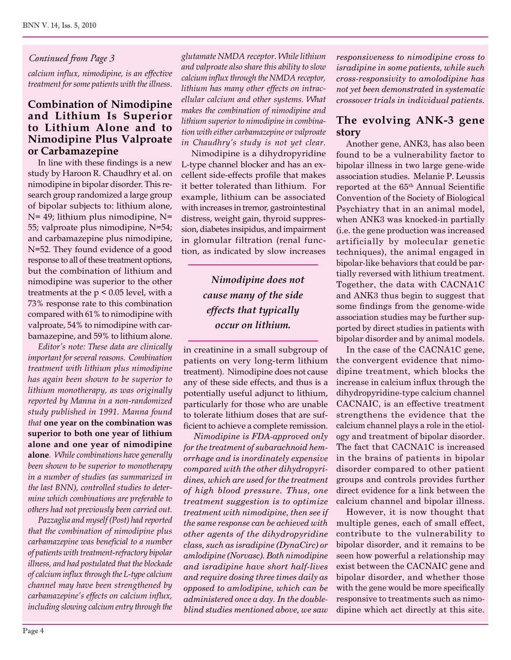#### *Continued from Page 3*

*calcium influx, nimodipine, is an effective treatment for some patients with the illness.*

#### **Combination of Nimodipine and Lithium Is Superior to Lithium Alone and to Nimodipine Plus Valproate or Carbamazepine**

In line with these findings is a new study by Haroon R. Chaudhry et al. on nimodipine in bipolar disorder. This research group randomized a large group of bipolar subjects to: lithium alone, N= 49; lithium plus nimodipine, N= 55; valproate plus nimodipine, N=54; and carbamazepine plus nimodipine, N=52. They found evidence of a good response to all of these treatment options, but the combination of lithium and nimodipine was superior to the other treatments at the  $p < 0.05$  level, with a 73% response rate to this combination compared with 61% to nimodipine with valproate, 54% to nimodipine with carbamazepine, and 59% to lithium alone.

*Editor's note: These data are clinically important for several reasons. Combination treatment with lithium plus nimodipine has again been shown to be superior to lithium monotherapy, as was originally reported by Manna in a non-randomized study published in 1991. Manna found that* **one year on the combination was superior to both one year of lithium alone and one year of nimodipine alone***. While combinations have generally been shown to be superior to monotherapy in a number of studies (as summarized in the last BNN), controlled studies to determine which combinations are preferable to others had not previously been carried out.* 

*Pazzaglia and myself (Post) had reported that the combination of nimodipine plus carbamazepine was beneficial to a number of patients with treatment-refractory bipolar illness, and had postulated that the blockade of calcium influx through the L-type calcium channel may have been strengthened by carbamazepine's effects on calcium influx, including slowing calcium entry through the*  *glutamate NMDA receptor. While lithium and valproate also share this ability to slow calcium influx through the NMDA receptor, lithium has many other effects on intracellular calcium and other systems. What makes the combination of nimodipine and lithium superior to nimodipine in combination with either carbamazepine or valproate in Chaudhry's study is not yet clear.*

Nimodipine is a dihydropyridine L-type channel blocker and has an excellent side-effects profile that makes it better tolerated than lithium. For example, lithium can be associated with increases in tremor, gastrointestinal distress, weight gain, thyroid suppression, diabetes insipidus, and impairment in glomular filtration (renal function, as indicated by slow increases

### *Nimodipine does not cause many of the side effects that typically occur on lithium.*

in creatinine in a small subgroup of patients on very long-term lithium treatment). Nimodipine does not cause any of these side effects, and thus is a potentially useful adjunct to lithium, particularly for those who are unable to tolerate lithium doses that are sufficient to achieve a complete remission.

*Nimodipine is FDA-approved only for the treatment of subarachnoid hemorrhage and is inordinately expensive compared with the other dihydropyridines, which are used for the treatment of high blood pressure. Thus, one treatment suggestion is to optimize treatment with nimodipine, then see if the same response can be achieved with other agents of the dihydropyridine class, such as isradipine (DynaCirc) or amlodipine (Norvasc). Both nimodipine and isradipine have short half-lives and require dosing three times daily as opposed to amlodipine, which can be administered once a day. In the doubleblind studies mentioned above, we saw* 

*responsiveness to nimodipine cross to isradipine in some patients, while such cross-responsivity to amolodipine has not yet been demonstrated in systematic crossover trials in individual patients.*

#### **The evolving ANK-3 gene story**

Another gene, ANK3, has also been found to be a vulnerability factor to bipolar illness in two large gene-wide association studies. Melanie P. Leussis reported at the 65th Annual Scientific Convention of the Society of Biological Psychiatry that in an animal model, when ANK3 was knocked-in partially (i.e. the gene production was increased artificially by molecular genetic techniques), the animal engaged in bipolar-like behaviors that could be partially reversed with lithium treatment. Together, the data with CACNA1C and ANK3 thus begin to suggest that some findings from the genome-wide association studies may be further supported by direct studies in patients with bipolar disorder and by animal models.

In the case of the CACNA1C gene, the convergent evidence that nimodipine treatment, which blocks the increase in calcium influx through the dihydropyridine-type calcium channel CACNAIC, is an effective treatment strengthens the evidence that the calcium channel plays a role in the etiology and treatment of bipolar disorder. The fact that CACNA1C is increased in the brains of patients in bipolar disorder compared to other patient groups and controls provides further direct evidence for a link between the calcium channel and bipolar illness.

However, it is now thought that multiple genes, each of small effect, contribute to the vulnerability to bipolar disorder, and it remains to be seen how powerful a relationship may exist between the CACNAIC gene and bipolar disorder, and whether those with the gene would be more specifically responsive to treatments such as nimodipine which act directly at this site.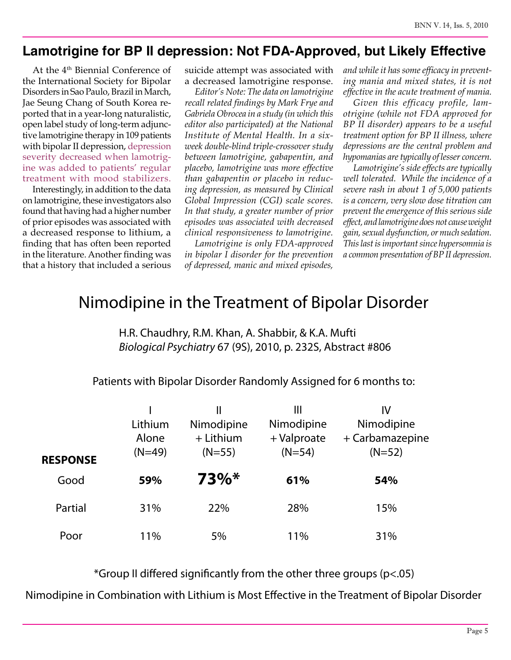### **Lamotrigine for BP II depression: Not FDA-Approved, but Likely Effective**

At the 4<sup>th</sup> Biennial Conference of the International Society for Bipolar Disorders in Sao Paulo, Brazil in March, Jae Seung Chang of South Korea reported that in a year-long naturalistic, open label study of long-term adjunctive lamotrigine therapy in 109 patients with bipolar II depression, depression severity decreased when lamotrigine was added to patients' regular treatment with mood stabilizers.

Interestingly, in addition to the data on lamotrigine, these investigators also found that having had a higher number of prior episodes was associated with a decreased response to lithium, a finding that has often been reported in the literature. Another finding was that a history that included a serious

suicide attempt was associated with a decreased lamotrigine response.

*Editor's Note: The data on lamotrigine recall related findings by Mark Frye and Gabriela Obrocea in a study (in which this editor also participated) at the National Institute of Mental Health. In a sixweek double-blind triple-crossover study between lamotrigine, gabapentin, and placebo, lamotrigine was more effective than gabapentin or placebo in reducing depression, as measured by Clinical Global Impression (CGI) scale scores. In that study, a greater number of prior episodes was associated with decreased clinical responsiveness to lamotrigine.*

*Lamotrigine is only FDA-approved in bipolar I disorder for the prevention of depressed, manic and mixed episodes,*  *and while it has some efficacy in preventing mania and mixed states, it is not effective in the acute treatment of mania.*

*Given this efficacy profile, lamotrigine (while not FDA approved for BP II disorder) appears to be a useful treatment option for BP II illness, where depressions are the central problem and hypomanias are typically of lesser concern.* 

*Lamotrigine's side effects are typically well tolerated. While the incidence of a severe rash in about 1 of 5,000 patients is a concern, very slow dose titration can prevent the emergence of this serious side effect, and lamotrigine does not cause weight gain, sexual dysfunction, or much sedation. This last is important since hypersomnia is a common presentation of BP II depression.*

### Nimodipine in the Treatment of Bipolar Disorder

H.R. Chaudhry, R.M. Khan, A. Shabbir, & K.A. Mufti *Biological Psychiatry* 67 (9S), 2010, p. 232S, Abstract #806

Patients with Bipolar Disorder Randomly Assigned for 6 months to:

| <b>RESPONSE</b> | Lithium<br>Alone<br>$(N=49)$ | II<br>Nimodipine<br>$+$ Lithium<br>$(N=55)$ | Ш<br>Nimodipine<br>+ Valproate<br>$(N=54)$ | IV<br>Nimodipine<br>+ Carbamazepine<br>$(N=52)$ |
|-----------------|------------------------------|---------------------------------------------|--------------------------------------------|-------------------------------------------------|
| Good            | 59%                          | $73\%*$                                     | 61%                                        | 54%                                             |
| Partial         | 31%                          | 22%                                         | 28%                                        | 15%                                             |
| Poor            | 11%                          | 5%                                          | 11%                                        | 31%                                             |

\*Group II differed significantly from the other three groups ( $p$ <.05)

Nimodipine in Combination with Lithium is Most Effective in the Treatment of Bipolar Disorder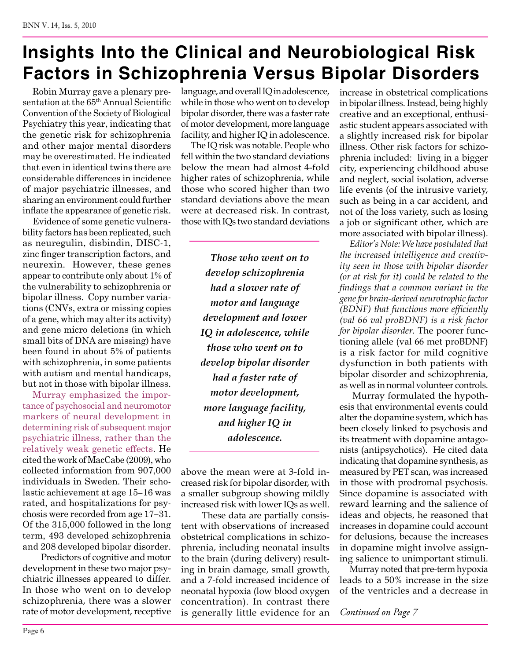# **Insights Into the Clinical and Neurobiological Risk Factors in Schizophrenia Versus Bipolar Disorders**

Robin Murray gave a plenary presentation at the 65th Annual Scientific Convention of the Society of Biological Psychiatry this year, indicating that the genetic risk for schizophrenia and other major mental disorders may be overestimated. He indicated that even in identical twins there are considerable differences in incidence of major psychiatric illnesses, and sharing an environment could further inflate the appearance of genetic risk.

Evidence of some genetic vulnerability factors has been replicated, such as neuregulin, disbindin, DISC-1, zinc finger transcription factors, and neurexin. However, these genes appear to contribute only about 1% of the vulnerability to schizophrenia or bipolar illness. Copy number variations (CNVs, extra or missing copies of a gene, which may alter its activity) and gene micro deletions (in which small bits of DNA are missing) have been found in about 5% of patients with schizophrenia, in some patients with autism and mental handicaps, but not in those with bipolar illness.

Murray emphasized the importance of psychosocial and neuromotor markers of neural development in determining risk of subsequent major psychiatric illness, rather than the relatively weak genetic effects. He cited the work of MacCabe (2009), who collected information from 907,000 individuals in Sweden. Their scholastic achievement at age 15−16 was rated, and hospitalizations for psychosis were recorded from age 17−31. Of the 315,000 followed in the long term, 493 developed schizophrenia and 208 developed bipolar disorder.

 Predictors of cognitive and motor development in these two major psychiatric illnesses appeared to differ. In those who went on to develop schizophrenia, there was a slower rate of motor development, receptive language, and overall IQ in adolescence, while in those who went on to develop bipolar disorder, there was a faster rate of motor development, more language facility, and higher IQ in adolescence.

The IQ risk was notable. People who fell within the two standard deviations below the mean had almost 4-fold higher rates of schizophrenia, while those who scored higher than two standard deviations above the mean were at decreased risk. In contrast, those with IQs two standard deviations

> *Those who went on to develop schizophrenia had a slower rate of motor and language development and lower IQ in adolescence, while those who went on to develop bipolar disorder had a faster rate of motor development, more language facility, and higher IQ in adolescence.*

above the mean were at 3-fold increased risk for bipolar disorder, with a smaller subgroup showing mildly increased risk with lower IQs as well.

 These data are partially consistent with observations of increased obstetrical complications in schizophrenia, including neonatal insults to the brain (during delivery) resulting in brain damage, small growth, and a 7-fold increased incidence of neonatal hypoxia (low blood oxygen concentration). In contrast there is generally little evidence for an

increase in obstetrical complications in bipolar illness. Instead, being highly creative and an exceptional, enthusiastic student appears associated with a slightly increased risk for bipolar illness. Other risk factors for schizophrenia included: living in a bigger city, experiencing childhood abuse and neglect, social isolation, adverse life events (of the intrusive variety, such as being in a car accident, and not of the loss variety, such as losing a job or significant other, which are more associated with bipolar illness).

*Editor's Note: We have postulated that the increased intelligence and creativity seen in those with bipolar disorder (or at risk for it) could be related to the findings that a common variant in the gene for brain-derived neurotrophic factor (BDNF) that functions more efficiently (val 66 val proBDNF) is a risk factor for bipolar disorder.* The poorer functioning allele (val 66 met proBDNF) is a risk factor for mild cognitive dysfunction in both patients with bipolar disorder and schizophrenia, as well as in normal volunteer controls.

 Murray formulated the hypothesis that environmental events could alter the dopamine system, which has been closely linked to psychosis and its treatment with dopamine antagonists (antipsychotics). He cited data indicating that dopamine synthesis, as measured by PET scan, was increased in those with prodromal psychosis. Since dopamine is associated with reward learning and the salience of ideas and objects, he reasoned that increases in dopamine could account for delusions, because the increases in dopamine might involve assigning salience to unimportant stimuli.

Murray noted that pre-term hypoxia leads to a 50% increase in the size of the ventricles and a decrease in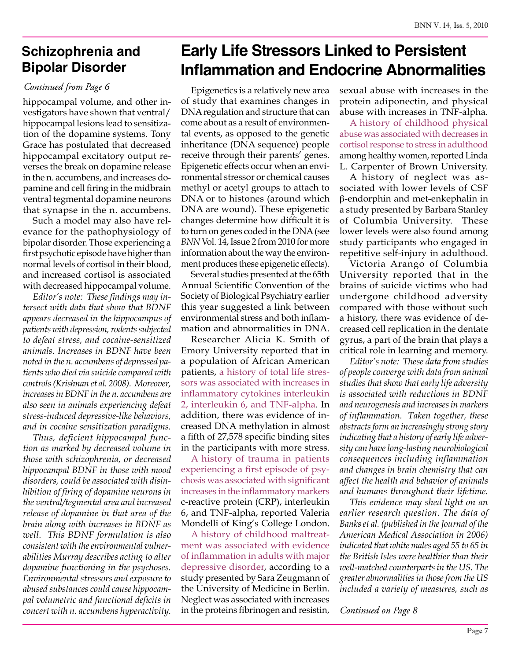### **Schizophrenia and Bipolar Disorder**

#### *Continued from Page 6*

hippocampal volume, and other investigators have shown that ventral/ hippocampal lesions lead to sensitization of the dopamine systems. Tony Grace has postulated that decreased hippocampal excitatory output reverses the break on dopamine release in the n. accumbens, and increases dopamine and cell firing in the midbrain ventral tegmental dopamine neurons that synapse in the n. accumbens.

Such a model may also have relevance for the pathophysiology of bipolar disorder. Those experiencing a first psychotic episode have higher than normal levels of cortisol in their blood, and increased cortisol is associated with decreased hippocampal volume.

*Editor's note: These findings may intersect with data that show that BDNF appears decreased in the hippocampus of patients with depression, rodents subjected to defeat stress, and cocaine-sensitized animals. Increases in BDNF have been noted in the n. accumbens of depressed patients who died via suicide compared with controls (Krishnan et al. 2008). Moreover, increases in BDNF in the n. accumbens are also seen in animals experiencing defeat stress-induced depressive-like behaviors, and in cocaine sensitization paradigms.* 

*Thus, deficient hippocampal function as marked by decreased volume in those with schizophrenia, or decreased hippocampal BDNF in those with mood disorders, could be associated with disinhibition of firing of dopamine neurons in the ventral/tegmental area and increased release of dopamine in that area of the brain along with increases in BDNF as well. This BDNF formulation is also consistent with the environmental vulnerabilities Murray describes acting to alter dopamine functioning in the psychoses. Environmental stressors and exposure to abused substances could cause hippocampal volumetric and functional deficits in concert with n. accumbens hyperactivity.*

# **Early Life Stressors Linked to Persistent Inflammation and Endocrine Abnormalities**

Epigenetics is a relatively new area of study that examines changes in DNA regulation and structure that can come about as a result of environmental events, as opposed to the genetic inheritance (DNA sequence) people receive through their parents' genes. Epigenetic effects occur when an environmental stressor or chemical causes methyl or acetyl groups to attach to DNA or to histones (around which DNA are wound). These epigenetic changes determine how difficult it is to turn on genes coded in the DNA (see *BNN* Vol. 14, Issue 2 from 2010 for more information about the way the environment produces these epigenetic effects).

Several studies presented at the 65th Annual Scientific Convention of the Society of Biological Psychiatry earlier this year suggested a link between environmental stress and both inflammation and abnormalities in DNA.

Researcher Alicia K. Smith of Emory University reported that in a population of African American patients, a history of total life stressors was associated with increases in inflammatory cytokines interleukin 2, interleukin 6, and TNF-alpha. In addition, there was evidence of increased DNA methylation in almost a fifth of 27,578 specific binding sites in the participants with more stress.

A history of trauma in patients experiencing a first episode of psychosis was associated with significant increases in the inflammatory markers c-reactive protein (CRP), interleukin 6, and TNF-alpha, reported Valeria Mondelli of King's College London.

A history of childhood maltreatment was associated with evidence of inflammation in adults with major depressive disorder, according to a study presented by Sara Zeugmann of the University of Medicine in Berlin. Neglect was associated with increases in the proteins fibrinogen and resistin, sexual abuse with increases in the protein adiponectin, and physical abuse with increases in TNF-alpha.

A history of childhood physical abuse was associated with decreases in cortisol response to stress in adulthood among healthy women, reported Linda L. Carpenter of Brown University.

A history of neglect was associated with lower levels of CSF β-endorphin and met-enkephalin in a study presented by Barbara Stanley of Columbia University. These lower levels were also found among study participants who engaged in repetitive self-injury in adulthood.

Victoria Arango of Columbia University reported that in the brains of suicide victims who had undergone childhood adversity compared with those without such a history, there was evidence of decreased cell replication in the dentate gyrus, a part of the brain that plays a critical role in learning and memory.

*Editor's note: These data from studies of people converge with data from animal studies that show that early life adversity is associated with reductions in BDNF and neurogenesis and increases in markers of inflammation. Taken together, these abstracts form an increasingly strong story indicating that a history of early life adversity can have long-lasting neurobiological consequences including inflammation and changes in brain chemistry that can affect the health and behavior of animals and humans throughout their lifetime.* 

*This evidence may shed light on an earlier research question. The data of Banks et al. (published in the Journal of the American Medical Association in 2006) indicated that white males aged 55 to 65 in the British Isles were healthier than their well-matched counterparts in the US. The greater abnormalities in those from the US included a variety of measures, such as*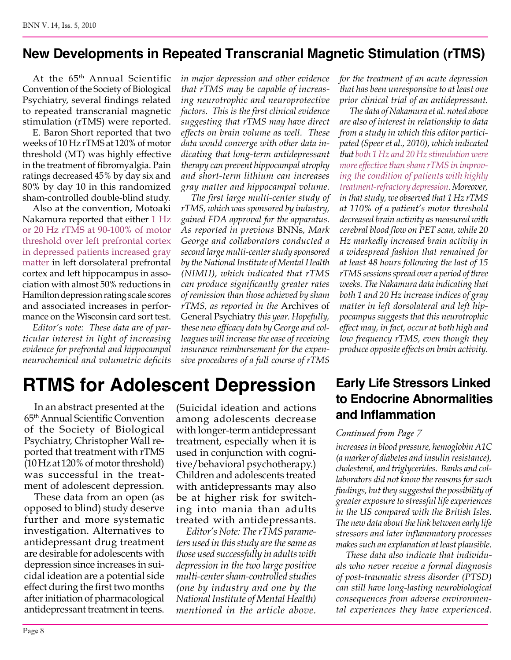### **New Developments in Repeated Transcranial Magnetic Stimulation (rTMS)**

At the 65th Annual Scientific Convention of the Society of Biological Psychiatry, several findings related to repeated transcranial magnetic stimulation (rTMS) were reported.

E. Baron Short reported that two weeks of 10 Hz rTMS at 120% of motor threshold (MT) was highly effective in the treatment of fibromyalgia. Pain ratings decreased 45% by day six and 80% by day 10 in this randomized sham-controlled double-blind study.

Also at the convention, Motoaki Nakamura reported that either 1 Hz or 20 Hz rTMS at 90-100% of motor threshold over left prefrontal cortex in depressed patients increased gray matter in left dorsolateral prefrontal cortex and left hippocampus in association with almost 50% reductions in Hamilton depression rating scale scores and associated increases in performance on the Wisconsin card sort test.

*Editor's note: These data are of particular interest in light of increasing evidence for prefrontal and hippocampal neurochemical and volumetric deficits*  *in major depression and other evidence that rTMS may be capable of increasing neurotrophic and neuroprotective factors. This is the first clinical evidence suggesting that rTMS may have direct effects on brain volume as well. These data would converge with other data indicating that long-term antidepressant therapy can prevent hippocampal atrophy and short-term lithium can increases gray matter and hippocampal volume.*

*The first large multi-center study of rTMS, which was sponsored by industry, gained FDA approval for the apparatus. As reported in previous* BNNs*, Mark George and collaborators conducted a second large multi-center study sponsored by the National Institute of Mental Health (NIMH), which indicated that rTMS can produce significantly greater rates of remission than those achieved by sham rTMS, as reported in the* Archives of General Psychiatry *this year. Hopefully, these new efficacy data by George and colleagues will increase the ease of receiving insurance reimbursement for the expensive procedures of a full course of rTMS* 

*for the treatment of an acute depression that has been unresponsive to at least one prior clinical trial of an antidepressant.*

*The data of Nakamura et al. noted above are also of interest in relationship to data from a study in which this editor participated (Speer et al., 2010), which indicated that both 1 Hz and 20 Hz stimulation were more effective than sham rTMS in improving the condition of patients with highly treatment-refractory depression. Moreover, in that study, we observed that 1 Hz rTMS at 110% of a patient's motor threshold decreased brain activity as measured with cerebral blood flow on PET scan, while 20 Hz markedly increased brain activity in a widespread fashion that remained for at least 48 hours following the last of 15 rTMS sessions spread over a period of three weeks. The Nakamura data indicating that both 1 and 20 Hz increase indices of gray matter in left dorsolateral and left hippocampus suggests that this neurotrophic effect may, in fact, occur at both high and low frequency rTMS, even though they produce opposite effects on brain activity.*

# **RTMS for Adolescent Depression**

In an abstract presented at the 65th Annual Scientific Convention of the Society of Biological Psychiatry, Christopher Wall reported that treatment with rTMS (10 Hz at 120% of motor threshold) was successful in the treatment of adolescent depression.

These data from an open (as opposed to blind) study deserve further and more systematic investigation. Alternatives to antidepressant drug treatment are desirable for adolescents with depression since increases in suicidal ideation are a potential side effect during the first two months after initiation of pharmacological antidepressant treatment in teens.

(Suicidal ideation and actions among adolescents decrease with longer-term antidepressant treatment, especially when it is used in conjunction with cognitive/behavioral psychotherapy.) Children and adolescents treated with antidepressants may also be at higher risk for switching into mania than adults treated with antidepressants.

*Editor's Note: The rTMS parameters used in this study are the same as those used successfully in adults with depression in the two large positive multi-center sham-controlled studies (one by industry and one by the National Institute of Mental Health) mentioned in the article above.*

**Early Life Stressors Linked to Endocrine Abnormalities and Inflammation**

#### *Continued from Page 7*

*increases in blood pressure, hemoglobin A1C (a marker of diabetes and insulin resistance), cholesterol, and triglycerides. Banks and collaborators did not know the reasons for such findings, but they suggested the possibility of greater exposure to stressful life experiences in the US compared with the British Isles. The new data about the link between early life stressors and later inflammatory processes makes such an explanation at least plausible.* 

*These data also indicate that individuals who never receive a formal diagnosis of post-traumatic stress disorder (PTSD) can still have long-lasting neurobiological consequences from adverse environmental experiences they have experienced.*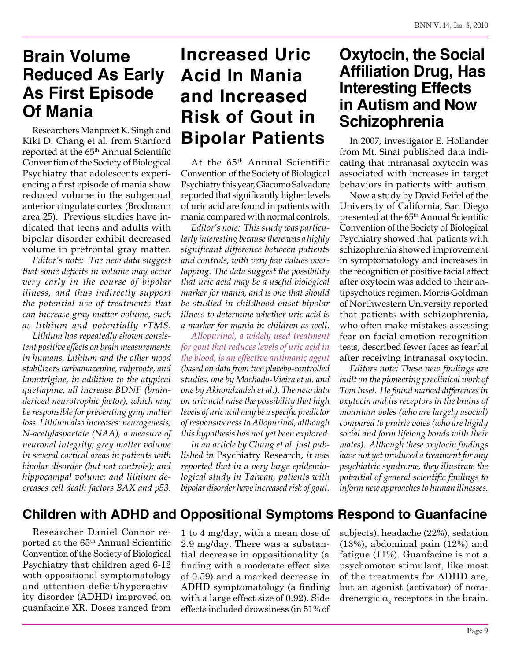# **Brain Volume Reduced As Early As First Episode Of Mania**

Researchers Manpreet K. Singh and Kiki D. Chang et al. from Stanford reported at the 65<sup>th</sup> Annual Scientific Convention of the Society of Biological Psychiatry that adolescents experiencing a first episode of mania show reduced volume in the subgenual anterior cingulate cortex (Brodmann area 25). Previous studies have indicated that teens and adults with bipolar disorder exhibit decreased volume in prefrontal gray matter.

*Editor's note: The new data suggest that some deficits in volume may occur very early in the course of bipolar illness, and thus indirectly support the potential use of treatments that can increase gray matter volume, such as lithium and potentially rTMS.*

*Lithium has repeatedly shown consistent positive effects on brain measurements in humans. Lithium and the other mood stabilizers carbamazepine, valproate, and lamotrigine, in addition to the atypical quetiapine, all increase BDNF (brainderived neurotrophic factor), which may be responsible for preventing gray matter loss. Lithium also increases: neurogenesis; N-acetylaspartate (NAA), a measure of neuronal integrity; grey matter volume in several cortical areas in patients with bipolar disorder (but not controls); and hippocampal volume; and lithium decreases cell death factors BAX and p53.*

# **Increased Uric Acid In Mania and Increased Risk of Gout in Bipolar Patients**

At the 65th Annual Scientific Convention of the Society of Biological Psychiatry this year, Giacomo Salvadore reported that significantly higher levels of uric acid are found in patients with mania compared with normal controls.

*Editor's note: This study was particularly interesting because there was a highly significant difference between patients and controls, with very few values overlapping. The data suggest the possibility that uric acid may be a useful biological marker for mania, and is one that should be studied in childhood-onset bipolar illness to determine whether uric acid is a marker for mania in children as well.*

*Allopurinol, a widely used treatment for gout that reduces levels of uric acid in the blood, is an effective antimanic agent (based on data from two placebo-controlled studies, one by Machado-Vieira et al. and one by Akhondzadeh et al.). The new data on uric acid raise the possibility that high levels of uric acid may be a specific predictor of responsiveness to Allopurinol, although this hypothesis has not yet been explored.*

*In an article by Chung et al. just published in* Psychiatry Research, *it was reported that in a very large epidemiological study in Taiwan, patients with bipolar disorder have increased risk of gout.*

## **Oxytocin, the Social Affiliation Drug, Has Interesting Effects in Autism and Now Schizophrenia**

In 2007, investigator E. Hollander from Mt. Sinai published data indicating that intranasal oxytocin was associated with increases in target behaviors in patients with autism.

Now a study by David Feifel of the University of California, San Diego presented at the 65th Annual Scientific Convention of the Society of Biological Psychiatry showed that patients with schizophrenia showed improvement in symptomatology and increases in the recognition of positive facial affect after oxytocin was added to their antipsychotics regimen. Morris Goldman of Northwestern University reported that patients with schizophrenia, who often make mistakes assessing fear on facial emotion recognition tests, described fewer faces as fearful after receiving intranasal oxytocin.

*Editors note: These new findings are built on the pioneering preclinical work of Tom Insel. He found marked differences in oxytocin and its receptors in the brains of mountain voles (who are largely asocial) compared to prairie voles (who are highly social and form lifelong bonds with their mates). Although these oxytocin findings have not yet produced a treatment for any psychiatric syndrome, they illustrate the potential of general scientific findings to inform new approaches to human illnesses.*

### **Children with ADHD and Oppositional Symptoms Respond to Guanfacine**

Researcher Daniel Connor reported at the 65th Annual Scientific Convention of the Society of Biological Psychiatry that children aged 6-12 with oppositional symptomatology and attention-deficit/hyperactivity disorder (ADHD) improved on guanfacine XR. Doses ranged from

1 to 4 mg/day, with a mean dose of 2.9 mg/day. There was a substantial decrease in oppositionality (a finding with a moderate effect size of 0.59) and a marked decrease in ADHD symptomatology (a finding with a large effect size of 0.92). Side effects included drowsiness (in 51% of

subjects), headache (22%), sedation (13%), abdominal pain (12%) and fatigue (11%). Guanfacine is not a psychomotor stimulant, like most of the treatments for ADHD are, but an agonist (activator) of noradrenergic  $\alpha_{2}$  receptors in the brain.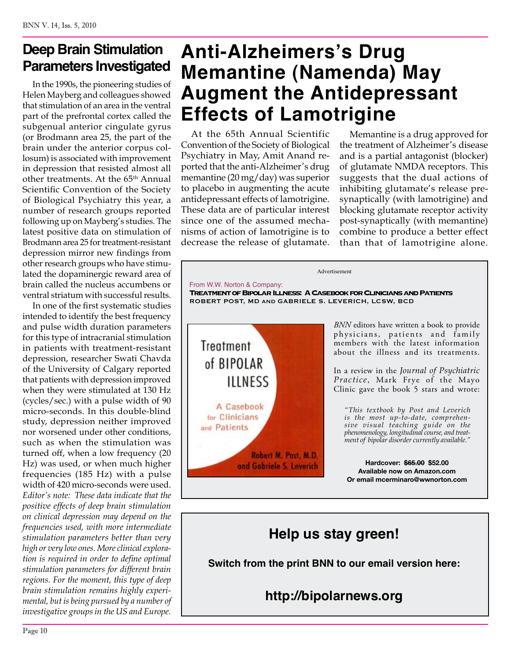### **Deep Brain Stimulation Parameters Investigated**

In the 1990s, the pioneering studies of Helen Mayberg and colleagues showed that stimulation of an area in the ventral part of the prefrontal cortex called the subgenual anterior cingulate gyrus (or Brodmann area 25, the part of the brain under the anterior corpus collosum) is associated with improvement in depression that resisted almost all other treatments. At the 65<sup>th</sup> Annual Scientific Convention of the Society of Biological Psychiatry this year, a number of research groups reported following up on Mayberg's studies. The latest positive data on stimulation of Brodmann area 25 for treatment-resistant depression mirror new findings from other research groups who have stimulated the dopaminergic reward area of brain called the nucleus accumbens or ventral striatum with successful results.

In one of the first systematic studies intended to identify the best frequency and pulse width duration parameters for this type of intracranial stimulation in patients with treatment-resistant depression, researcher Swati Chavda of the University of Calgary reported that patients with depression improved when they were stimulated at 130 Hz (cycles/sec.) with a pulse width of 90 micro-seconds. In this double-blind study, depression neither improved nor worsened under other conditions, such as when the stimulation was turned off, when a low frequency (20 Hz) was used, or when much higher frequencies (185 Hz) with a pulse width of 420 micro-seconds were used. *Editor's note: These data indicate that the positive effects of deep brain stimulation on clinical depression may depend on the frequencies used, with more intermediate stimulation parameters better than very high or very low ones. More clinical exploration is required in order to define optimal stimulation parameters for different brain regions. For the moment, this type of deep brain stimulation remains highly experimental, but is being pursued by a number of investigative groups in the US and Europe.*

# **Anti-Alzheimers's Drug Memantine (Namenda) May Augment the Antidepressant Effects of Lamotrigine**

At the 65th Annual Scientific Convention of the Society of Biological Psychiatry in May, Amit Anand reported that the anti-Alzheimer's drug memantine (20 mg/day) was superior to placebo in augmenting the acute antidepressant effects of lamotrigine. These data are of particular interest since one of the assumed mechanisms of action of lamotrigine is to decrease the release of glutamate.

Memantine is a drug approved for the treatment of Alzheimer's disease and is a partial antagonist (blocker) of glutamate NMDA receptors. This suggests that the dual actions of inhibiting glutamate's release presynaptically (with lamotrigine) and blocking glutamate receptor activity post-synaptically (with memantine) combine to produce a better effect than that of lamotrigine alone.



### **Help us stay green!**

**Switch from the print BNN to our email version here:**

**http://bipolarnews.org**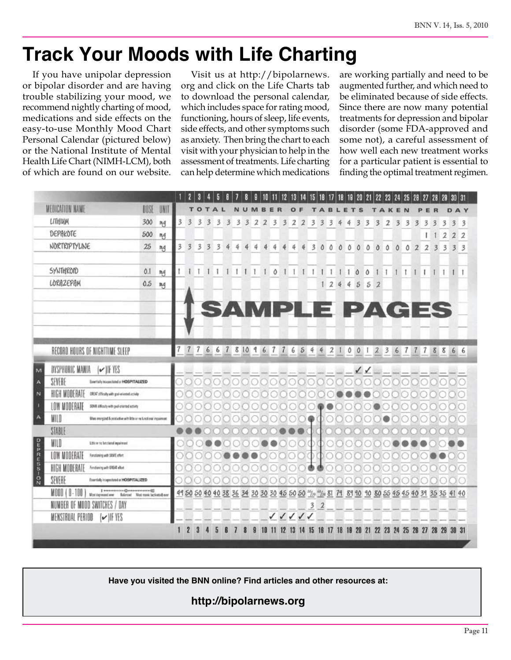# **Track Your Moods with Life Charting**

If you have unipolar depression or bipolar disorder and are having trouble stabilizing your mood, we recommend nightly charting of mood, medications and side effects on the easy-to-use Monthly Mood Chart Personal Calendar (pictured below) or the National Institute of Mental Health Life Chart (NIMH-LCM), both of which are found on our website.

Visit us at http://bipolarnews. org and click on the Life Charts tab to download the personal calendar, which includes space for rating mood, functioning, hours of sleep, life events, side effects, and other symptoms such as anxiety. Then bring the chart to each visit with your physician to help in the assessment of treatments. Life charting can help determine which medications

are working partially and need to be augmented further, and which need to be eliminated because of side effects. Since there are now many potential treatments for depression and bipolar disorder (some FDA-approved and some not), a careful assessment of how well each new treatment works for a particular patient is essential to finding the optimal treatment regimen.



**Have you visited the BNN online? Find articles and other resources at:**

**http://bipolarnews.org**